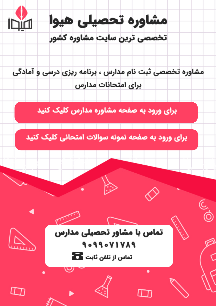

مشاوره تخصصی ثبت نام مدارس ، برنامه ریزی درسی و آمادگی براى امتحانات مدارس

برای ورود به صفحه مشاوره مدارس کلیک کنید

برای ورود به صفحه نمونه سوالات امتحانی کلیک کنید



9099071789 تماس از تلفن ثابت ها